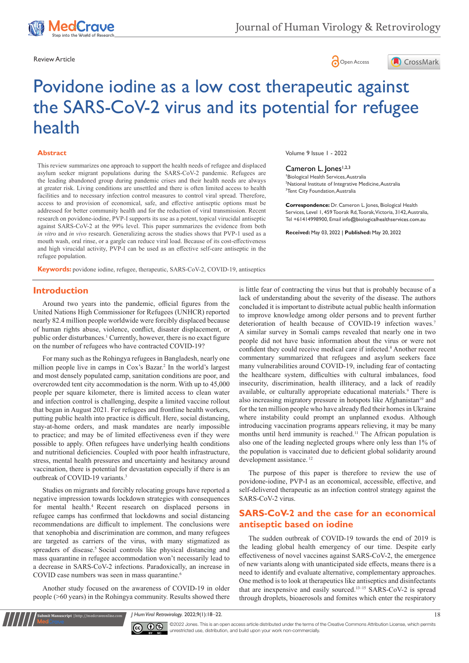





# Povidone iodine as a low cost therapeutic against the SARS-CoV-2 virus and its potential for refugee health

#### **Abstract**

This review summarizes one approach to support the health needs of refugee and displaced asylum seeker migrant populations during the SARS-CoV-2 pandemic. Refugees are the leading abandoned group during pandemic crises and their health needs are always at greater risk. Living conditions are unsettled and there is often limited access to health facilities and to necessary infection control measures to control viral spread. Therefore, access to and provision of economical, safe, and effective antiseptic options must be addressed for better community health and for the reduction of viral transmission. Recent research on povidone-iodine, PVP-I supports its use as a potent, topical virucidal antiseptic against SARS-CoV-2 at the 99% level. This paper summarizes the evidence from both *in vitro* and *in vivo* research. Generalizing across the studies shows that PVP-1 used as a mouth wash, oral rinse, or a gargle can reduce viral load. Because of its cost-effectiveness and high virucidal activity, PVP-I can be used as an effective self-care antiseptic in the refugee population.

**Keywords:** povidone iodine, refugee, therapeutic, SARS-CoV-2, COVID-19, antiseptics

Volume 9 Issue 1 - 2022

Cameron L. Jones<sup>1,2,3</sup> **1** Biological Health Services, Australia 2 National Institute of Integrative Medicine, Australia <sup>3</sup>Tent City Foundation, Australia

**Correspondence:** Dr. Cameron L. Jones, Biological Health Services, Level 1, 459 Toorak Rd, Toorak, Victoria, 3142, Australia, Tel +61414998900, Email info@biologicalhealthservices.com.au

**Received:** May 03, 2022 | **Published:** May 20, 2022

## **Introduction**

Around two years into the pandemic, official figures from the United Nations High Commissioner for Refugees (UNHCR) reported nearly 82.4 million people worldwide were forcibly displaced because of human rights abuse, violence, conflict, disaster displacement, or public order disturbances.<sup>1</sup> Currently, however, there is no exact figure on the number of refugees who have contracted COVID-19?

For many such as the Rohingya refugees in Bangladesh, nearly one million people live in camps in Cox's Bazar.2 In the world's largest and most densely populated camp, sanitation conditions are poor, and overcrowded tent city accommodation is the norm. With up to 45,000 people per square kilometer, there is limited access to clean water and infection control is challenging, despite a limited vaccine rollout that began in August 2021. For refugees and frontline health workers, putting public health into practice is difficult. Here, social distancing, stay-at-home orders, and mask mandates are nearly impossible to practice; and may be of limited effectiveness even if they were possible to apply. Often refugees have underlying health conditions and nutritional deficiencies. Coupled with poor health infrastructure, stress, mental health pressures and uncertainty and hesitancy around vaccination, there is potential for devastation especially if there is an outbreak of COVID-19 variants.<sup>3</sup>

Studies on migrants and forcibly relocating groups have reported a negative impression towards lockdown strategies with consequences for mental health.4 Recent research on displaced persons in refugee camps has confirmed that lockdowns and social distancing recommendations are difficult to implement. The conclusions were that xenophobia and discrimination are common, and many refugees are targeted as carriers of the virus, with many stigmatized as spreaders of disease.<sup>5</sup> Social controls like physical distancing and mass quarantine in refugee accommodation won't necessarily lead to a decrease in SARS-CoV-2 infections. Paradoxically, an increase in COVID case numbers was seen in mass quarantine.<sup>6</sup>

Another study focused on the awareness of COVID-19 in older people (>60 years) in the Rohingya community. Results showed there

is little fear of contracting the virus but that is probably because of a lack of understanding about the severity of the disease. The authors concluded it is important to distribute actual public health information to improve knowledge among older persons and to prevent further deterioration of health because of COVID-19 infection waves.<sup>7</sup> A similar survey in Somali camps revealed that nearly one in two people did not have basic information about the virus or were not confident they could receive medical care if infected.<sup>8</sup> Another recent commentary summarized that refugees and asylum seekers face many vulnerabilities around COVID-19, including fear of contacting the healthcare system, difficulties with cultural imbalances, food insecurity, discrimination, health illiteracy, and a lack of readily available, or culturally appropriate educational materials.<sup>9</sup> There is also increasing migratory pressure in hotspots like Afghanistan<sup>10</sup> and for the ten million people who have already fled their homes in Ukraine where instability could prompt an unplanned exodus. Although introducing vaccination programs appears relieving, it may be many months until herd immunity is reached.<sup>11</sup> The African population is also one of the leading neglected groups where only less than 1% of the population is vaccinated due to deficient global solidarity around development assistance.<sup>12</sup>

The purpose of this paper is therefore to review the use of povidone-iodine, PVP-I as an economical, accessible, effective, and self-delivered therapeutic as an infection control strategy against the SARS-CoV-2 virus.

## **SARS-CoV-2 and the case for an economical antiseptic based on iodine**

The sudden outbreak of COVID-19 towards the end of 2019 is the leading global health emergency of our time. Despite early effectiveness of novel vaccines against SARS-CoV-2, the emergence of new variants along with unanticipated side effects, means there is a need to identify and evaluate alternative, complementary approaches. One method is to look at therapeutics like antiseptics and disinfectants that are inexpensive and easily sourced.13–15 SARS-CoV-2 is spread through droplets, bioaerosols and fomites which enter the respiratory

*J Hum Virol Retrovirology.* 2022;9(1):18‒22. 18



CC  $\bullet$  ©2022 Jones. This is an open access article distributed under the terms of the Creative Commons Attribution License, which permits unrestricted use, distribution, and build upon your work non-commercially.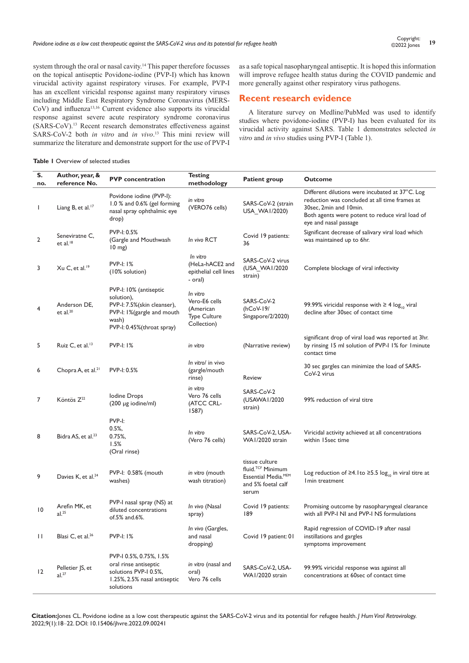system through the oral or nasal cavity.<sup>14</sup> This paper therefore focusses on the topical antiseptic Povidone-iodine (PVP-I) which has known virucidal activity against respiratory viruses. For example, PVP-I has an excellent viricidal response against many respiratory viruses including Middle East Respiratory Syndrome Coronavirus (MERS-CoV) and influenza<sup>13,16</sup> Current evidence also supports its virucidal response against severe acute respiratory syndrome coronavirus (SARS-CoV).<sup>13</sup> Recent research demonstrates effectiveness against SARS-CoV-2 both *in vitro* and *in vivo*. <sup>13</sup> This mini review will summarize the literature and demonstrate support for the use of PVP-I

#### **Table 1** Overview of selected studies

as a safe topical nasopharyngeal antiseptic. It is hoped this information will improve refugee health status during the COVID pandemic and more generally against other respiratory virus pathogens.

## **Recent research evidence**

A literature survey on Medline/PubMed was used to identify studies where povidone-iodine (PVP-I) has been evaluated for its virucidal activity against SARS. Table 1 demonstrates selected *in vitro* and *in vivo* studies using PVP-I (Table 1).

| S.<br>no.    | Author, year, &<br>reference No.       | <b>PVP</b> concentration                                                                                                                 | <b>Testing</b><br>methodology                                                | <b>Patient group</b>                                                                                  | <b>Outcome</b>                                                                                                                                                                                         |
|--------------|----------------------------------------|------------------------------------------------------------------------------------------------------------------------------------------|------------------------------------------------------------------------------|-------------------------------------------------------------------------------------------------------|--------------------------------------------------------------------------------------------------------------------------------------------------------------------------------------------------------|
| T            | Liang B, et al. <sup>17</sup>          | Povidone iodine (PVP-I):<br>1.0 % and 0.6% (gel forming<br>nasal spray ophthalmic eye<br>drop)                                           | in vitro<br>(VERO76 cells)                                                   | SARS-CoV-2 (strain<br>USA_WAI/2020)                                                                   | Different dilutions were incubated at 37°C. Log<br>reduction was concluded at all time frames at<br>30sec, 2min and 10min.<br>Both agents were potent to reduce viral load of<br>eye and nasal passage |
| 2            | Seneviratne C,<br>et al. <sup>18</sup> | PVP-I: 0.5%<br>(Gargle and Mouthwash<br>$10 \text{ mg}$                                                                                  | In vivo RCT                                                                  | Covid 19 patients:<br>36                                                                              | Significant decrease of salivary viral load which<br>was maintained up to 6hr.                                                                                                                         |
| 3            | $Xu$ C, et al. <sup>19</sup>           | <b>PVP-I: 1%</b><br>(10% solution)                                                                                                       | In vitro<br>(HeLa-hACE2 and<br>epithelial cell lines<br>- oral)              | SARS-CoV-2 virus<br>(USA_WA1/2020<br>strain)                                                          | Complete blockage of viral infectivity                                                                                                                                                                 |
| 4            | Anderson DE,<br>et al. $20$            | PVP-I: 10% (antiseptic<br>solution),<br>PVP-I: 7.5%(skin cleanser),<br>PVP-I: I%(gargle and mouth<br>wash)<br>PVP-I: 0.45%(throat spray) | In vitro<br>Vero-E6 cells<br>(American<br><b>Type Culture</b><br>Collection) | SARS-CoV-2<br>$(hCoV-19/$<br>Singapore/2/2020)                                                        | 99.99% viricidal response with $\geq 4 \log_{10}$ viral<br>decline after 30sec of contact time                                                                                                         |
| 5            | Ruiz C, et al. <sup>13</sup>           | <b>PVP-I: 1%</b>                                                                                                                         | in vitro                                                                     | (Narrative review)                                                                                    | significant drop of viral load was reported at 3hr.<br>by rinsing 15 ml solution of PVP-I 1% for 1 minute<br>contact time                                                                              |
| 6            | Chopra A, et al. <sup>21</sup>         | PVP-I: 0.5%                                                                                                                              | In vitro/ in vivo<br>(gargle/mouth<br>rinse)                                 | Review                                                                                                | 30 sec gargles can minimize the load of SARS-<br>CoV-2 virus                                                                                                                                           |
| 7            | Köntös Z <sup>22</sup>                 | Iodine Drops<br>(200 µg iodine/ml)                                                                                                       | in vitro<br>Vero 76 cells<br>(ATCC CRL-<br>1587)                             | SARS-CoV-2<br>(USAWA1/2020<br>strain)                                                                 | 99% reduction of viral titre                                                                                                                                                                           |
| 8            | Bidra AS, et al. <sup>23</sup>         | PVP-I:<br>0.5%<br>0.75%<br>1.5%<br>(Oral rinse)                                                                                          | In vitro<br>(Vero 76 cells)                                                  | SARS-CoV-2, USA-<br>WA1/2020 strain                                                                   | Viricidal activity achieved at all concentrations<br>within 15sec time                                                                                                                                 |
| 9            | Davies K, et al. <sup>24</sup>         | PVP-I: 0.58% (mouth<br>washes)                                                                                                           | in vitro (mouth<br>wash titration)                                           | tissue culture<br>fluid. <sup>TCF</sup> Minimum<br>Essential Media.MEM<br>and 5% foetal calf<br>serum | Log reduction of ≥4.1 to ≥5.5 $log_{10}$ in viral titre at<br>I min treatment                                                                                                                          |
| 10           | Arefin MK, et<br>al. <sup>25</sup>     | PVP-I nasal spray (NS) at<br>diluted concentrations<br>of.5% and.6%.                                                                     | In vivo (Nasal<br>spray)                                                     | Covid 19 patients:<br>189                                                                             | Promising outcome by nasopharyngeal clearance<br>with all PVP-I NI and PVP-I NS formulations                                                                                                           |
| $\mathbf{H}$ | Blasi C, et al. <sup>26</sup>          | <b>PVP-I: 1%</b>                                                                                                                         | In vivo (Gargles,<br>and nasal<br>dropping)                                  | Covid 19 patient: 01                                                                                  | Rapid regression of COVID-19 after nasal<br>instillations and gargles<br>symptoms improvement                                                                                                          |
| 12           | Pelletier JS, et<br>al. <sup>27</sup>  | PVP-I 0.5%, 0.75%, 1.5%<br>oral rinse antiseptic<br>solutions PVP-I 0.5%,<br>1.25%, 2.5% nasal antiseptic<br>solutions                   | in vitro (nasal and<br>oral)<br>Vero 76 cells                                | SARS-CoV-2, USA-<br>WA1/2020 strain                                                                   | 99.99% viricidal response was against all<br>concentrations at 60sec of contact time                                                                                                                   |

**Citation:**Jones CL. Povidone iodine as a low cost therapeutic against the SARS-CoV-2 virus and its potential for refugee health. *J Hum Virol Retrovirology.* 2022;9(1):18‒22. DOI: [10.15406/jhvre.2022.09.002](https://doi.org/10.15406/jhvre.2022.09.00241)41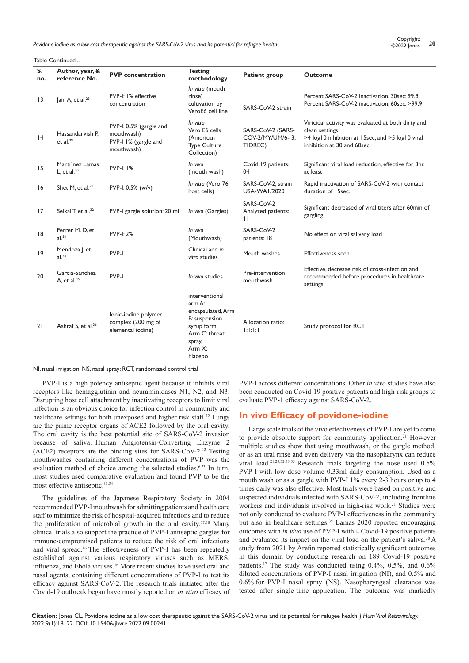*Povidone iodine as a low cost therapeutic against the SARS-CoV-2 virus and its potential for refugee health* **<sup>20</sup>** Copyright:

#### Table Continued...

| S.<br>no.       | Author, year, &<br>reference No.      | <b>PVP</b> concentration                                                    | <b>Testing</b><br>methodology                                                                                                    | <b>Patient group</b>                             | <b>Outcome</b>                                                                                                                                         |
|-----------------|---------------------------------------|-----------------------------------------------------------------------------|----------------------------------------------------------------------------------------------------------------------------------|--------------------------------------------------|--------------------------------------------------------------------------------------------------------------------------------------------------------|
| $\overline{13}$ | lain A, et al. <sup>28</sup>          | PVP-I: I% effective<br>concentration                                        | In vitro (mouth<br>rinse)<br>cultivation by<br>VeroE6 cell line                                                                  | SARS-CoV-2 strain                                | Percent SARS-CoV-2 inactivation, 30sec: 99.8<br>Percent SARS-CoV-2 inactivation, 60sec: >99.9                                                          |
| 4               | Hassandarvish P.<br>et al. $29$       | PVP-I: 0.5% (gargle and<br>mouthwash)<br>PVP-I 1% (gargle and<br>mouthwash) | In vitro<br>Vero E6 cells<br>(American<br><b>Type Culture</b><br>Collection)                                                     | SARS-CoV-2 (SARS-<br>COV-2/MY/UM/6-3;<br>TIDREC) | Viricidal activity was evaluated at both dirty and<br>clean settings<br>>4 log10 inhibition at 15sec, and >5 log10 viral<br>inhibition at 30 and 60sec |
| 15              | Marti'nez Lamas<br>L, et al. $30$     | <b>PVP-I: 1%</b>                                                            | In vivo<br>(mouth wash)                                                                                                          | Covid 19 patients:<br>04                         | Significant viral load reduction, effective for 3hr.<br>at least                                                                                       |
| 16              | Shet M, et al. <sup>31</sup>          | PVP-I: 0.5% (w/v)                                                           | In vitro (Vero 76<br>host cells)                                                                                                 | SARS-CoV-2, strain<br>USA-WA1/2020               | Rapid inactivation of SARS-CoV-2 with contact<br>duration of 15sec.                                                                                    |
| 17              | Seikai T, et al. <sup>32</sup>        | PVP-I gargle solution: 20 ml                                                | In vivo (Gargles)                                                                                                                | SARS-CoV-2<br>Analyzed patients:<br>$\mathsf{L}$ | Significant decreased of viral titers after 60min of<br>gargling                                                                                       |
| 8               | Ferrer M.D, et<br>$al.$ <sup>33</sup> | <b>PVP-I: 2%</b>                                                            | In vivo<br>(Mouthwash)                                                                                                           | SARS-CoV-2<br>patients: 18                       | No effect on viral salivary load                                                                                                                       |
| 9               | Mendoza J, et<br>$al.^{34}$           | PVP-I                                                                       | Clinical and in<br>vitro studies                                                                                                 | Mouth washes                                     | <b>Effectiveness seen</b>                                                                                                                              |
| 20              | Garcia-Sanchez<br>A, et al. $35$      | PVP-I                                                                       | In vivo studies                                                                                                                  | Pre-intervention<br>mouthwash                    | Effective, decrease risk of cross-infection and<br>recommended before procedures in healthcare<br>settings                                             |
| 21              | Ashraf S, et al. <sup>36</sup>        | lonic-iodine polymer<br>complex (200 mg of<br>elemental iodine)             | interventional<br>arm A:<br>encapsulated, Arm<br>B: suspension<br>syrup form,<br>Arm C: throat<br>spray,<br>Arm $X$ :<br>Placebo | Allocation ratio:<br>1:1:1:1                     | Study protocol for RCT                                                                                                                                 |

NI, nasal irrigation; NS, nasal spray; RCT, randomized control trial

PVP-I is a high potency antiseptic agent because it inhibits viral receptors like hemagglutinin and neuraminidases N1, N2, and N3. Disrupting host cell attachment by inactivating receptors to limit viral infection is an obvious choice for infection control in community and healthcare settings for both unexposed and higher risk staff.<sup>35</sup> Lungs are the prime receptor organs of ACE2 followed by the oral cavity. The oral cavity is the best potential site of SARS-CoV-2 invasion because of saliva. Human Angiotensin-Converting Enzyme 2 (ACE2) receptors are the binding sites for SARS-CoV-2.<sup>13</sup> Testing mouthwashes containing different concentrations of PVP was the evaluation method of choice among the selected studies.<sup>6,23</sup> In turn, most studies used comparative evaluation and found PVP to be the most effective antiseptic.33,34

The guidelines of the Japanese Respiratory Society in 2004 recommended PVP-I mouthwash for admitting patients and health care staff to minimize the risk of hospital-acquired infections and to reduce the proliferation of microbial growth in the oral cavity.37,38 Many clinical trials also support the practice of PVP-I antiseptic gargles for immune-compromised patients to reduce the risk of oral infections and viral spread.<sup>16</sup> The effectiveness of PVP-I has been repeatedly established against various respiratory viruses such as MERS, influenza, and Ebola viruses.<sup>16</sup> More recent studies have used oral and nasal agents, containing different concentrations of PVP-I to test its efficacy against SARS-CoV-2. The research trials initiated after the Covid-19 outbreak began have mostly reported on *in vitro* efficacy of PVP-I across different concentrations. Other *in vivo* studies have also been conducted on Covid-19 positive patients and high-risk groups to evaluate PVP-1 efficacy against SARS-CoV-2.

### **In vivo Efficacy of povidone-iodine**

Large scale trials of the vivo effectiveness of PVP-I are yet to come to provide absolute support for community application.<sup>21</sup> However multiple studies show that using mouthwash, or the gargle method, or as an oral rinse and even delivery via the nasopharynx can reduce viral load.21,25,32,33,35 Research trials targeting the nose used 0.5% PVP-I with low-dose volume 0.33ml daily consumption. Used as a mouth wash or as a gargle with PVP-I 1% every 2-3 hours or up to 4 times daily was also effective. Most trials were based on positive and suspected individuals infected with SARS-CoV-2, including frontline workers and individuals involved in high-risk work.<sup>21</sup> Studies were not only conducted to evaluate PVP-I effectiveness in the community but also in healthcare settings.<sup>35</sup> Lamas 2020 reported encouraging outcomes with *in vivo* use of PVP-I with 4 Covid-19 positive patients and evaluated its impact on the viral load on the patient's saliva.30 A study from 2021 by Arefin reported statistically significant outcomes in this domain by conducting research on 189 Covid-19 positive patients.<sup>17</sup> The study was conducted using 0.4%, 0.5%, and 0.6% diluted concentrations of PVP-I nasal irrigation (NI), and 0.5% and 0.6%.for PVP-I nasal spray (NS). Nasopharyngeal clearance was tested after single-time application. The outcome was markedly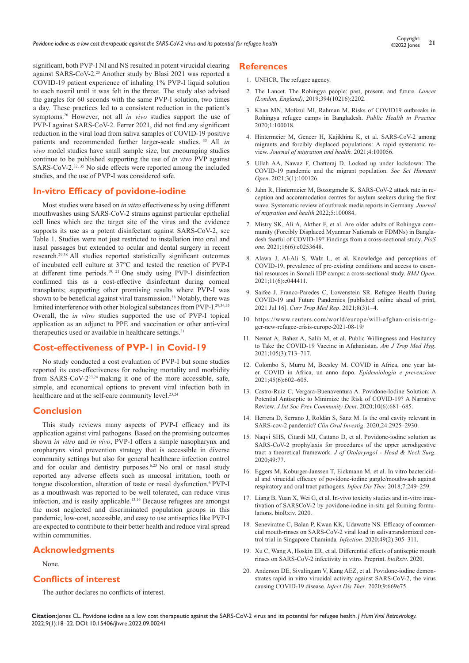significant, both PVP-I NI and NS resulted in potent virucidal clearing against SARS-CoV-2.25 Another study by Blasi 2021 was reported a COVID-19 patient experience of inhaling 1% PVP-I liquid solution to each nostril until it was felt in the throat. The study also advised the gargles for 60 seconds with the same PVP-I solution, two times a day. These practices led to a consistent reduction in the patient's symptoms.26 However, not all *in vivo* studies support the use of PVP-I against SARS-CoV-2. Ferrer 2021, did not find any significant reduction in the viral load from saliva samples of COVID-19 positive patients and recommended further larger-scale studies. <sup>33</sup> All *in vivo* model studies have small sample size, but encouraging studies continue to be published supporting the use of *in vivo* PVP against SARS-CoV-2.<sup>32, 35</sup> No side effects were reported among the included studies, and the use of PVP-I was considered safe.

## **In-vitro Efficacy of povidone-iodine**

Most studies were based on *in vitro* effectiveness by using different mouthwashes using SARS-CoV-2 strains against particular epithelial cell lines which are the target site of the virus and the evidence supports its use as a potent disinfectant against SARS-CoV-2, see Table 1. Studies were not just restricted to installation into oral and nasal passages but extended to ocular and dental surgery in recent research.29,38 All studies reported statistically significant outcomes of incubated cell culture at 37°C and tested the reaction of PVP-I at different time periods.19, 21 One study using PVP-I disinfection confirmed this as a cost-effective disinfectant during corneal transplants; supporting other promising results where PVP-I was shown to be beneficial against viral transmission.38 Notably, there was limited interference with other biological substances from PVP-I.29,34,35 Overall, the *in vitro* studies supported the use of PVP-I topical application as an adjunct to PPE and vaccination or other anti-viral therapeutics used or available in healthcare settings.<sup>31</sup>

### **Cost-effectiveness of PVP-1 in Covid-19**

No study conducted a cost evaluation of PVP-I but some studies reported its cost-effectiveness for reducing mortality and morbidity from SARS-CoV-223,24 making it one of the more accessible, safe, simple, and economical options to prevent viral infection both in healthcare and at the self-care community level.<sup>23,24</sup>

#### **Conclusion**

This study reviews many aspects of PVP-I efficacy and its application against viral pathogens. Based on the promising outcomes shown *in vitro* and *in vivo*, PVP-I offers a simple nasopharynx and oropharynx viral prevention strategy that is accessible in diverse community settings but also for general healthcare infection control and for ocular and dentistry purposes.<sup>6,23</sup> No oral or nasal study reported any adverse effects such as mucosal irritation, tooth or tongue discoloration, alteration of taste or nasal dysfunction.<sup>6</sup> PVP-I as a mouthwash was reported to be well tolerated, can reduce virus infection, and is easily applicable.13,16 Because refugees are amongst the most neglected and discriminated population groups in this pandemic, low-cost, accessible, and easy to use antiseptics like PVP-I are expected to contribute to their better health and reduce viral spread within communities.

## **Acknowledgments**

#### None.

## **Conflicts of interest**

The author declares no conflicts of interest.

#### **References**

- 1. UNHCR, The refugee agency.
- 2. The Lancet. The Rohingya people: past, present, and future. *Lancet (London, England)*, 2019;394(10216):2202.
- 3. Khan MN, Mofizul MI, Rahman M. Risks of COVID19 outbreaks in Rohingya refugee camps in Bangladesh. *Public Health in Practice* 2020;1:100018.
- 4. Hintermeier M, Gencer H, Kajikhina K, et al. SARS-CoV-2 among migrants and forcibly displaced populations: A rapid systematic review. *Journal of migration and health.* 2021;4:100056.
- 5. Ullah AA, Nawaz F, Chattoraj D. Locked up under lockdown: The COVID-19 pandemic and the migrant population. *Soc Sci Humanit Open*. 2021;3(1):100126.
- 6. Jahn R, Hintermeier M, Bozorgmehr K. SARS-CoV-2 attack rate in reception and accommodation centres for asylum seekers during the first wave: Systematic review of outbreak media reports in Germany. *Journal of migration and health* 2022;5:100084.
- 7. Mistry SK, Ali A, Akther F, et al. Are older adults of Rohingya community (Forcibly Displaced Myanmar Nationals or FDMNs) in Bangladesh fearful of COVID-19? Findings from a cross-sectional study. *PloS one*. 2021;16(6):e0253648.
- 8. Alawa J, Al-Ali S, Walz L, et al. Knowledge and perceptions of COVID-19, prevalence of pre-existing conditions and access to essential resources in Somali IDP camps: a cross-sectional study. *BMJ Open*. 2021;11(6):e044411.
- 9. Saifee J, Franco-Paredes C, Lowenstein SR. Refugee Health During COVID-19 and Future Pandemics [published online ahead of print, 2021 Jul 16]. *Curr Trop Med Rep*. 2021;8(3)1–4.
- 10. https://www.reuters.com/world/europe/will-afghan-crisis-trigger-new-refugee-crisis-europe-2021-08-19/
- 11. Nemat A, Bahez A, Salih M, et al. Public Willingness and Hesitancy to Take the COVID-19 Vaccine in Afghanistan. *Am J Trop Med Hyg*. 2021;105(3):713–717.
- 12. Colombo S, Murru M, Beesley M. COVID in Africa, one year later. COVID in Africa, un anno dopo. *Epidemiologia e prevenzione* 2021;45(6):602–605.
- 13. Castro-Ruiz C, Vergara-Buenaventura A. Povidone-Iodine Solution: A Potential Antiseptic to Minimize the Risk of COVID-19? A Narrative Review. *J Int Soc Prev Community Dent*. 2020;10(6):681–685.
- 14. Herrera D, Serrano J, Roldán S, Sanz M. Is the oral cavity relevant in SARS-cov-2 pandemic? *Clin Oral Investig*. 2020;24:2925–2930.
- 15. Naqvi SHS, Citardi MJ, Cattano D, et al. Povidone-iodine solution as SARS-CoV-2 prophylaxis for procedures of the upper aerodigestive tract a theoretical framework. *J of Otolaryngol - Head & Neck Surg*. 2020;49:77.
- 16. Eggers M, Koburger-Janssen T, Eickmann M, et al. In vitro bactericidal and virucidal efficacy of povidone-iodine gargle/mouthwash against respiratory and oral tract pathogens. *Infect Dis Ther.* 2018;7:249–259.
- 17. Liang B, Yuan X, Wei G, et al. In-vivo toxicity studies and in-vitro inactivation of SARSCoV-2 by povidone-iodine in-situ gel forming formulations. bioRxiv. 2020.
- 18. Seneviratne C, Balan P, Kwan KK, Udawatte NS. Efficacy of commercial mouth-rinses on SARS-CoV-2 viral load in saliva:randomized control trial in Singapore Chaminda*. Infection.* 2020;49(2):305–311.
- 19. Xu C, Wang A, Hoskin ER, et al. Differential effects of antiseptic mouth rinses on SARS-CoV-2 infectivity in vitro. Preprint. *bioRxiv*. 2020.
- 20. Anderson DE, Sivalingam V, Kang AEZ, et al. Povidone-iodine demonstrates rapid in vitro virucidal activity against SARS-CoV-2, the virus causing COVID-19 disease. *Infect Dis Ther*. 2020;9:669e75.

**Citation:**Jones CL. Povidone iodine as a low cost therapeutic against the SARS-CoV-2 virus and its potential for refugee health. *J Hum Virol Retrovirology.* 2022;9(1):18‒22. DOI: [10.15406/jhvre.2022.09.002](https://doi.org/10.15406/jhvre.2022.09.00241)41